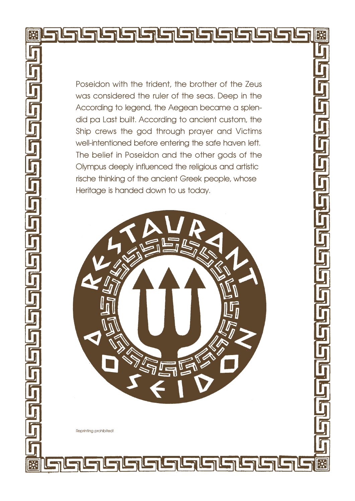Poseidon with the trident, the brother of the Zeus was considered the ruler of the seas. Deep in the According to legend, the Aegean became a splendid pa Last built. According to ancient custom, the Ship crews the god through prayer and Victims well-intentioned before entering the safe haven left. The belief in Poseidon and the other gods of the Olympus deeply influenced the religious and artistic rische thinking of the ancient Greek people, whose Heritage is handed down to us today.



Reprinting prohibited!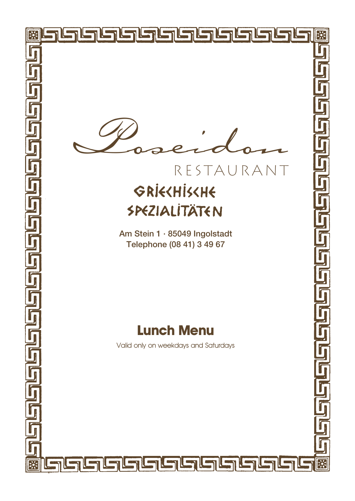

**EXI** 

**BK** 

## RESTAURANT GRİECHİSCHE SPEZIALITÄTEN

Am Stein 1 · 85049 Ingolstadt Telephone (08 41) 3 49 67

## **Lunch Menu**

Valid only on weekdays and Saturdays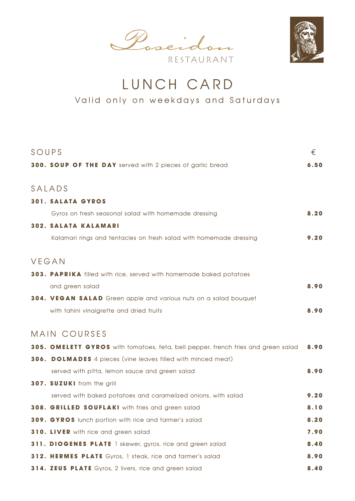Poseidon RESTAURANT



LUNCH CARD

Valid only on weekdays and Saturdays

| SOUPS                                                                             | €    |
|-----------------------------------------------------------------------------------|------|
| 300. SOUP OF THE DAY served with 2 pieces of garlic bread                         | 6,50 |
|                                                                                   |      |
| SALADS                                                                            |      |
| <b>301. SALATA GYROS</b>                                                          |      |
| Gyros on fresh seasonal salad with homemade dressing                              | 8.20 |
| <b>302. SALATA KALAMARI</b>                                                       |      |
| Kalamari rings and tentacles on fresh salad with homemade dressing                | 9.20 |
|                                                                                   |      |
| VEGAN                                                                             |      |
| 303. PAPRIKA filled with rice, served with homemade baked potatoes                |      |
| and green salad                                                                   | 8.90 |
| <b>304. VEGAN SALAD</b> Green apple and various nuts on a salad bouquet           |      |
| with tahini vinaigrette and dried fruits                                          | 8,90 |
|                                                                                   |      |
| MAIN COURSES                                                                      |      |
| 305. OMELETT GYROS with tomatoes, feta, bell pepper, french fries and green salad | 8.90 |
| <b>306. DOLMADES</b> 4 pieces (vine leaves filled with minced meat)               |      |
| served with pitta, lemon sauce and green salad                                    | 8.90 |
| 307. SUZUKI from the grill                                                        |      |
| served with baked potatoes and caramelized onions, with salad                     | 9.20 |
| 308. GRILLED SOUFLAKI with fries and green salad                                  | 8.10 |
| <b>309. GYROS</b> lunch portion with rice and farmer's salad                      | 8.20 |
| 310. LIVER with rice and green salad                                              | 7.90 |
| 311. DIOGENES PLATE 1 skewer, gyros, rice and green salad                         | 8.40 |
| 312. HERMES PLATE Gyros, 1 steak, rice and farmer's salad                         | 8.90 |
| 314. ZEUS PLATE Gyros, 2 livers, rice and green salad                             | 8.40 |